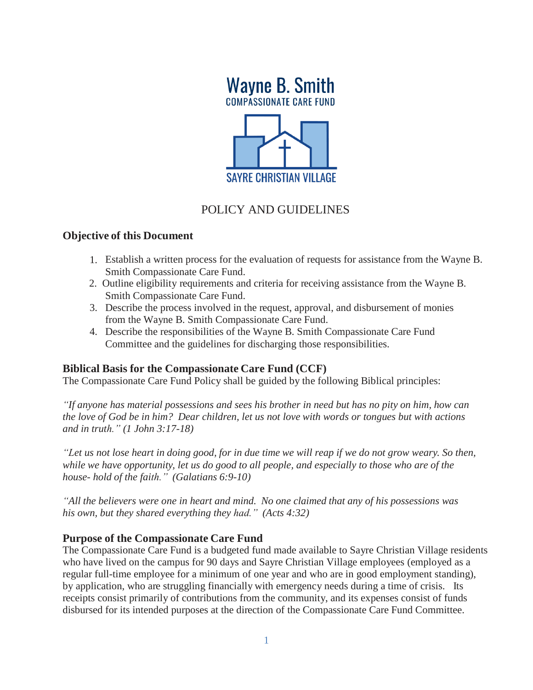

# POLICY AND GUIDELINES

## **Objective of this Document**

- 1. Establish a written process for the evaluation of requests for assistance from the Wayne B. Smith Compassionate Care Fund.
- 2. Outline eligibility requirements and criteria for receiving assistance from the Wayne B. Smith Compassionate Care Fund.
- 3. Describe the process involved in the request, approval, and disbursement of monies from the Wayne B. Smith Compassionate Care Fund.
- 4. Describe the responsibilities of the Wayne B. Smith Compassionate Care Fund Committee and the guidelines for discharging those responsibilities.

## **Biblical Basis for the Compassionate Care Fund (CCF)**

The Compassionate Care Fund Policy shall be guided by the following Biblical principles:

*"If anyone has material possessions and sees his brother in need but has no pity on him, how can the love of God be in him? Dear children, let us not love with words or tongues but with actions and in truth." (1 John 3:17-18)*

*"Let us not lose heart in doing good, for in due time we will reap if we do not grow weary. So then, while we have opportunity, let us do good to all people, and especially to those who are of the house- hold of the faith." (Galatians 6:9-10)*

*"All the believers were one in heart and mind. No one claimed that any of his possessions was his own, but they shared everything they had." (Acts 4:32)*

## **Purpose of the Compassionate Care Fund**

The Compassionate Care Fund is a budgeted fund made available to Sayre Christian Village residents who have lived on the campus for 90 days and Sayre Christian Village employees (employed as a regular full-time employee for a minimum of one year and who are in good employment standing), by application, who are struggling financially with emergency needs during a time of crisis. Its receipts consist primarily of contributions from the community, and its expenses consist of funds disbursed for its intended purposes at the direction of the Compassionate Care Fund Committee.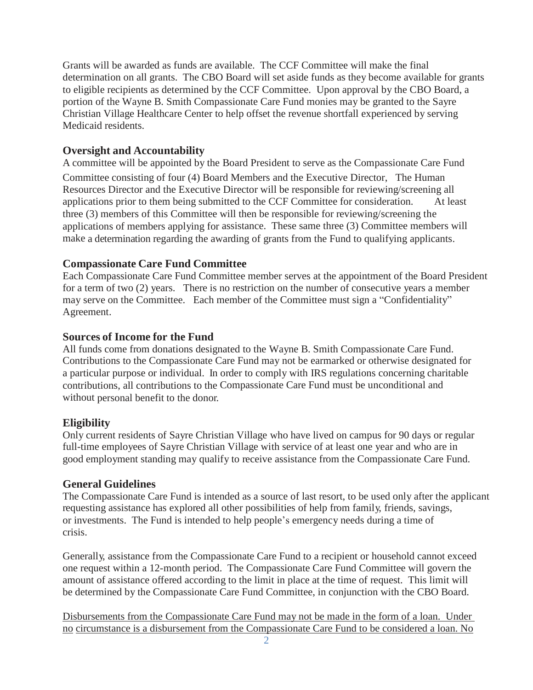Grants will be awarded as funds are available. The CCF Committee will make the final determination on all grants. The CBO Board will set aside funds as they become available for grants to eligible recipients as determined by the CCF Committee. Upon approval by the CBO Board, a portion of the Wayne B. Smith Compassionate Care Fund monies may be granted to the Sayre Christian Village Healthcare Center to help offset the revenue shortfall experienced by serving Medicaid residents.

## **Oversight and Accountability**

A committee will be appointed by the Board President to serve as the Compassionate Care Fund Committee consisting of four (4) Board Members and the Executive Director, The Human Resources Director and the Executive Director will be responsible for reviewing/screening all applications prior to them being submitted to the CCF Committee for consideration. At least three (3) members of this Committee will then be responsible for reviewing/screening the applications of members applying for assistance. These same three (3) Committee members will make a determination regarding the awarding of grants from the Fund to qualifying applicants.

### **Compassionate Care Fund Committee**

Each Compassionate Care Fund Committee member serves at the appointment of the Board President for a term of two (2) years. There is no restriction on the number of consecutive years a member may serve on the Committee. Each member of the Committee must sign a "Confidentiality" Agreement.

#### **Sources of Income for the Fund**

All funds come from donations designated to the Wayne B. Smith Compassionate Care Fund. Contributions to the Compassionate Care Fund may not be earmarked or otherwise designated for a particular purpose or individual. In order to comply with IRS regulations concerning charitable contributions, all contributions to the Compassionate Care Fund must be unconditional and without personal benefit to the donor.

#### **Eligibility**

Only current residents of Sayre Christian Village who have lived on campus for 90 days or regular full-time employees of Sayre Christian Village with service of at least one year and who are in good employment standing may qualify to receive assistance from the Compassionate Care Fund.

#### **General Guidelines**

The Compassionate Care Fund is intended as a source of last resort, to be used only after the applicant requesting assistance has explored all other possibilities of help from family, friends, savings, or investments. The Fund is intended to help people's emergency needs during a time of crisis.

Generally, assistance from the Compassionate Care Fund to a recipient or household cannot exceed one request within a 12-month period. The Compassionate Care Fund Committee will govern the amount of assistance offered according to the limit in place at the time of request. This limit will be determined by the Compassionate Care Fund Committee, in conjunction with the CBO Board.

Disbursements from the Compassionate Care Fund may not be made in the form of a loan. Under no circumstance is a disbursement from the Compassionate Care Fund to be considered a loan. No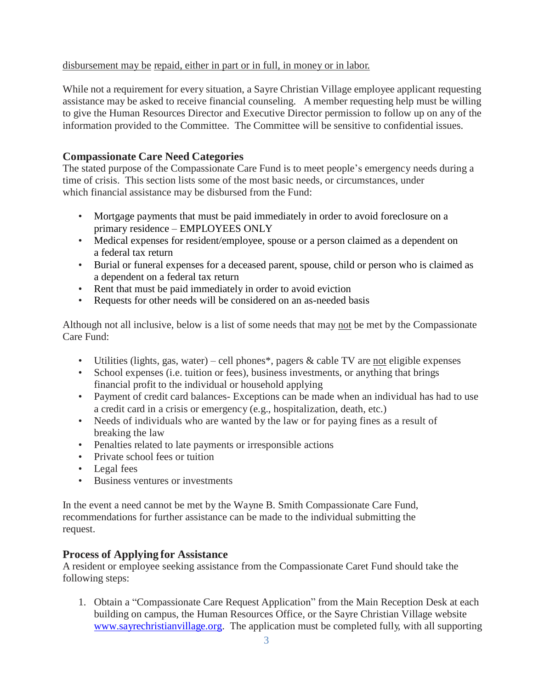#### disbursement may be repaid, either in part or in full, in money or in labor.

While not a requirement for every situation, a Sayre Christian Village employee applicant requesting assistance may be asked to receive financial counseling. A member requesting help must be willing to give the Human Resources Director and Executive Director permission to follow up on any of the information provided to the Committee. The Committee will be sensitive to confidential issues.

#### **Compassionate Care Need Categories**

The stated purpose of the Compassionate Care Fund is to meet people's emergency needs during a time of crisis. This section lists some of the most basic needs, or circumstances, under which financial assistance may be disbursed from the Fund:

- Mortgage payments that must be paid immediately in order to avoid foreclosure on a primary residence – EMPLOYEES ONLY
- Medical expenses for resident/employee, spouse or a person claimed as a dependent on a federal tax return
- Burial or funeral expenses for a deceased parent, spouse, child or person who is claimed as a dependent on a federal tax return
- Rent that must be paid immediately in order to avoid eviction
- Requests for other needs will be considered on an as-needed basis

Although not all inclusive, below is a list of some needs that may not be met by the Compassionate Care Fund:

- Utilities (lights, gas, water) cell phones\*, pagers  $\&$  cable TV are not eligible expenses
- School expenses (i.e. tuition or fees), business investments, or anything that brings financial profit to the individual or household applying
- Payment of credit card balances- Exceptions can be made when an individual has had to use a credit card in a crisis or emergency (e.g., hospitalization, death, etc.)
- Needs of individuals who are wanted by the law or for paying fines as a result of breaking the law
- Penalties related to late payments or irresponsible actions
- Private school fees or tuition
- Legal fees
- Business ventures or investments

In the event a need cannot be met by the Wayne B. Smith Compassionate Care Fund, recommendations for further assistance can be made to the individual submitting the request.

#### **Process of Applying for Assistance**

A resident or employee seeking assistance from the Compassionate Caret Fund should take the following steps:

1. Obtain a "Compassionate Care Request Application" from the Main Reception Desk at each building on campus, the Human Resources Office, or the Sayre Christian Village website [www.sayrechristianvillage.org.](http://www.sayrechristianvillage.org/) The application must be completed fully, with all supporting